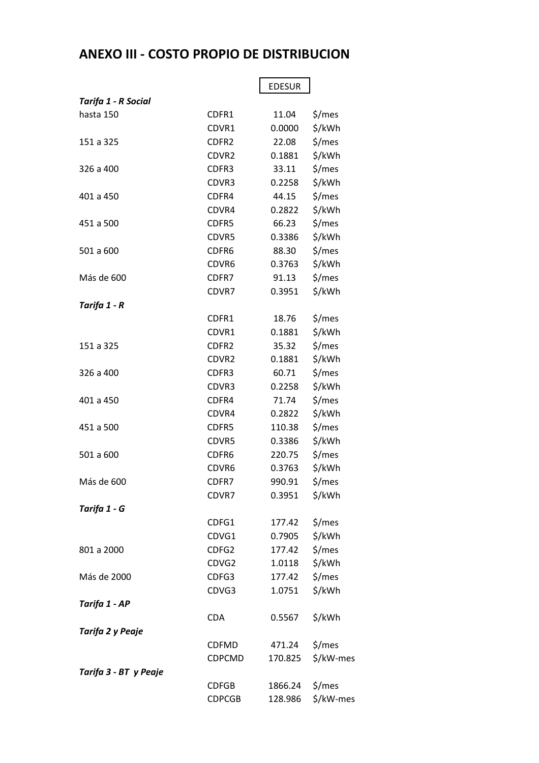## **ANEXO III - COSTO PROPIO DE DISTRIBUCION**

|                       |                   | <b>EDESUR</b> |           |
|-----------------------|-------------------|---------------|-----------|
| Tarifa 1 - R Social   |                   |               |           |
| hasta 150             | CDFR1             | 11.04         | \$/mes    |
|                       | CDVR1             | 0.0000        | \$/kWh    |
| 151 a 325             | CDFR <sub>2</sub> | 22.08         | \$/mes    |
|                       | CDVR <sub>2</sub> | 0.1881        | \$/kWh    |
| 326 a 400             | CDFR3             | 33.11         | \$/mes    |
|                       | CDVR3             | 0.2258        | \$/kWh    |
| 401 a 450             | CDFR4             | 44.15         | \$/mes    |
|                       | CDVR4             | 0.2822        | \$/kWh    |
| 451 a 500             | CDFR5             | 66.23         | \$/mes    |
|                       | CDVR5             | 0.3386        | \$/kWh    |
| 501 a 600             | CDFR <sub>6</sub> | 88.30         | \$/mes    |
|                       | CDVR6             | 0.3763        | \$/kWh    |
| Más de 600            | CDFR7             | 91.13         | \$/mes    |
|                       | CDVR7             | 0.3951        | \$/kWh    |
| Tarifa 1 - R          |                   |               |           |
|                       | CDFR1             | 18.76         | \$/mes    |
|                       | CDVR1             | 0.1881        | \$/kWh    |
| 151 a 325             | CDFR <sub>2</sub> | 35.32         | \$/mes    |
|                       | CDVR2             | 0.1881        | \$/kWh    |
| 326 a 400             | CDFR3             | 60.71         | \$/mes    |
|                       | CDVR3             | 0.2258        | \$/kWh    |
| 401 a 450             | CDFR4             | 71.74         | \$/mes    |
|                       | CDVR4             | 0.2822        | \$/kWh    |
| 451 a 500             | CDFR5             | 110.38        | \$/mes    |
|                       | CDVR5             | 0.3386        | \$/kWh    |
| 501 a 600             | CDFR6             | 220.75        | \$/mes    |
|                       | CDVR6             | 0.3763        | \$/kWh    |
| Más de 600            | CDFR7             | 990.91        | \$/mes    |
|                       | CDVR7             | 0.3951        | \$/kWh    |
| Tarifa 1 - G          |                   |               |           |
|                       | CDFG1             | 177.42        | \$/mes    |
|                       | CDVG1             | 0.7905        | \$/kWh    |
| 801 a 2000            | CDFG2             | 177.42        | \$/mes    |
|                       | CDVG2             | 1.0118        | \$/kWh    |
| Más de 2000           | CDFG3             | 177.42        | \$/mes    |
|                       | CDVG3             | 1.0751        | \$/kWh    |
| Tarifa 1 - AP         |                   |               |           |
|                       | <b>CDA</b>        | 0.5567        | \$/kWh    |
| Tarifa 2 y Peaje      |                   |               |           |
|                       | <b>CDFMD</b>      | 471.24        | \$/mes    |
|                       | CDPCMD            | 170.825       | \$/kW-mes |
| Tarifa 3 - BT y Peaje |                   |               |           |
|                       | <b>CDFGB</b>      | 1866.24       | \$/mes    |
|                       | <b>CDPCGB</b>     | 128.986       | \$/kW-mes |